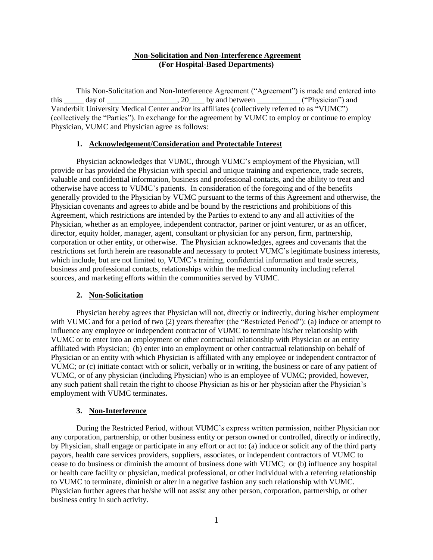# **Non-Solicitation and Non-Interference Agreement (For Hospital-Based Departments)**

This Non-Solicitation and Non-Interference Agreement ("Agreement") is made and entered into this  $\_\_\_\_$  day of  $\_\_\_\_\_\_\_\_$ , 20 $\_\_\_\_\_$  by and between  $\_\_\_\_\_\_\_$  ("Physician") and Vanderbilt University Medical Center and/or its affiliates (collectively referred to as "VUMC") (collectively the "Parties"). In exchange for the agreement by VUMC to employ or continue to employ Physician, VUMC and Physician agree as follows:

#### **1. Acknowledgement/Consideration and Protectable Interest**

Physician acknowledges that VUMC, through VUMC's employment of the Physician, will provide or has provided the Physician with special and unique training and experience, trade secrets, valuable and confidential information, business and professional contacts, and the ability to treat and otherwise have access to VUMC's patients. In consideration of the foregoing and of the benefits generally provided to the Physician by VUMC pursuant to the terms of this Agreement and otherwise, the Physician covenants and agrees to abide and be bound by the restrictions and prohibitions of this Agreement, which restrictions are intended by the Parties to extend to any and all activities of the Physician, whether as an employee, independent contractor, partner or joint venturer, or as an officer, director, equity holder, manager, agent, consultant or physician for any person, firm, partnership, corporation or other entity, or otherwise. The Physician acknowledges, agrees and covenants that the restrictions set forth herein are reasonable and necessary to protect VUMC's legitimate business interests, which include, but are not limited to, VUMC's training, confidential information and trade secrets, business and professional contacts, relationships within the medical community including referral sources, and marketing efforts within the communities served by VUMC.

# **2. Non-Solicitation**

Physician hereby agrees that Physician will not, directly or indirectly, during his/her employment with VUMC and for a period of two (2) years thereafter (the "Restricted Period"): (a) induce or attempt to influence any employee or independent contractor of VUMC to terminate his/her relationship with VUMC or to enter into an employment or other contractual relationship with Physician or an entity affiliated with Physician; (b) enter into an employment or other contractual relationship on behalf of Physician or an entity with which Physician is affiliated with any employee or independent contractor of VUMC; or (c) initiate contact with or solicit, verbally or in writing, the business or care of any patient of VUMC, or of any physician (including Physician) who is an employee of VUMC; provided, however, any such patient shall retain the right to choose Physician as his or her physician after the Physician's employment with VUMC terminates**.** 

#### **3. Non-Interference**

During the Restricted Period, without VUMC's express written permission, neither Physician nor any corporation, partnership, or other business entity or person owned or controlled, directly or indirectly, by Physician, shall engage or participate in any effort or act to: (a) induce or solicit any of the third party payors, health care services providers, suppliers, associates, or independent contractors of VUMC to cease to do business or diminish the amount of business done with VUMC; or (b) influence any hospital or health care facility or physician, medical professional, or other individual with a referring relationship to VUMC to terminate, diminish or alter in a negative fashion any such relationship with VUMC. Physician further agrees that he/she will not assist any other person, corporation, partnership, or other business entity in such activity.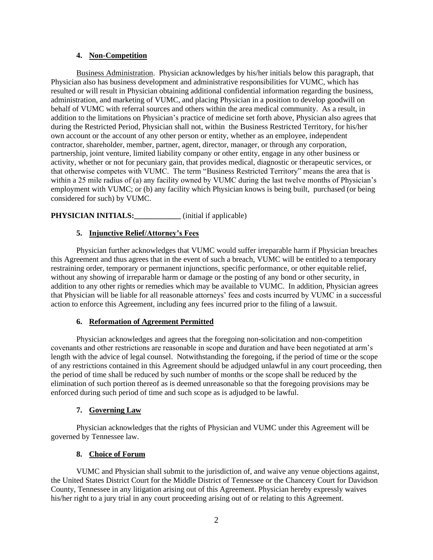### **4. Non-Competition**

Business Administration. Physician acknowledges by his/her initials below this paragraph, that Physician also has business development and administrative responsibilities for VUMC, which has resulted or will result in Physician obtaining additional confidential information regarding the business, administration, and marketing of VUMC, and placing Physician in a position to develop goodwill on behalf of VUMC with referral sources and others within the area medical community. As a result, in addition to the limitations on Physician's practice of medicine set forth above, Physician also agrees that during the Restricted Period, Physician shall not, within the Business Restricted Territory, for his/her own account or the account of any other person or entity, whether as an employee, independent contractor, shareholder, member, partner, agent, director, manager, or through any corporation, partnership, joint venture, limited liability company or other entity, engage in any other business or activity, whether or not for pecuniary gain, that provides medical, diagnostic or therapeutic services, or that otherwise competes with VUMC. The term "Business Restricted Territory" means the area that is within a 25 mile radius of (a) any facility owned by VUMC during the last twelve months of Physician's employment with VUMC; or (b) any facility which Physician knows is being built, purchased (or being considered for such) by VUMC.

# **PHYSICIAN INITIALS:** (initial if applicable)

# **5. Injunctive Relief/Attorney's Fees**

Physician further acknowledges that VUMC would suffer irreparable harm if Physician breaches this Agreement and thus agrees that in the event of such a breach, VUMC will be entitled to a temporary restraining order, temporary or permanent injunctions, specific performance, or other equitable relief, without any showing of irreparable harm or damage or the posting of any bond or other security, in addition to any other rights or remedies which may be available to VUMC. In addition, Physician agrees that Physician will be liable for all reasonable attorneys' fees and costs incurred by VUMC in a successful action to enforce this Agreement, including any fees incurred prior to the filing of a lawsuit.

# **6. Reformation of Agreement Permitted**

Physician acknowledges and agrees that the foregoing non-solicitation and non-competition covenants and other restrictions are reasonable in scope and duration and have been negotiated at arm's length with the advice of legal counsel. Notwithstanding the foregoing, if the period of time or the scope of any restrictions contained in this Agreement should be adjudged unlawful in any court proceeding, then the period of time shall be reduced by such number of months or the scope shall be reduced by the elimination of such portion thereof as is deemed unreasonable so that the foregoing provisions may be enforced during such period of time and such scope as is adjudged to be lawful.

# **7. Governing Law**

Physician acknowledges that the rights of Physician and VUMC under this Agreement will be governed by Tennessee law.

# **8. Choice of Forum**

VUMC and Physician shall submit to the jurisdiction of, and waive any venue objections against, the United States District Court for the Middle District of Tennessee or the Chancery Court for Davidson County, Tennessee in any litigation arising out of this Agreement. Physician hereby expressly waives his/her right to a jury trial in any court proceeding arising out of or relating to this Agreement.